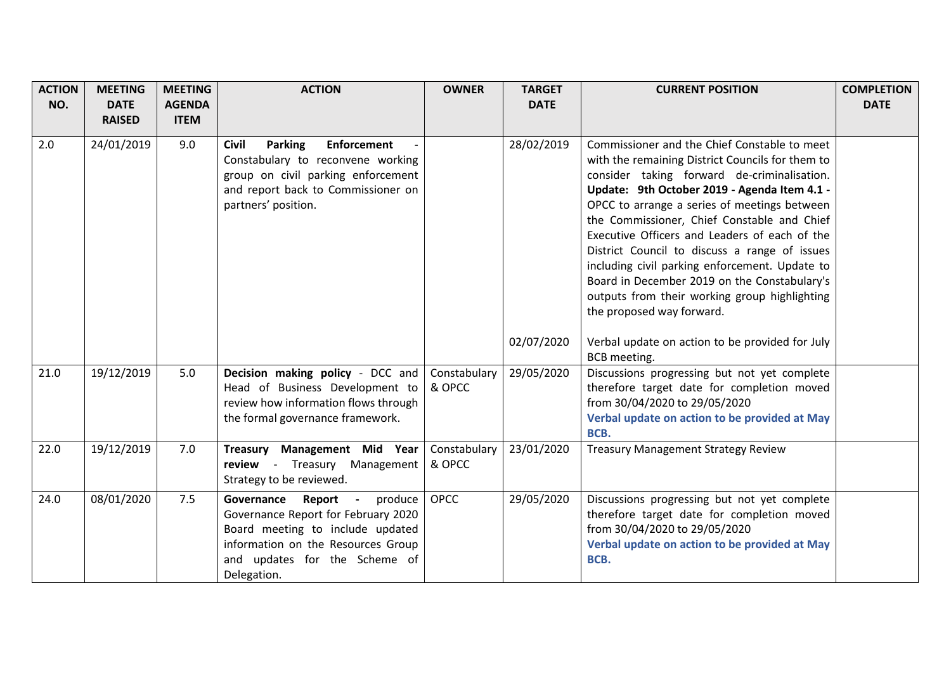| <b>ACTION</b> | <b>MEETING</b> | <b>MEETING</b> | <b>ACTION</b>                                                                                                                                                                                                                | <b>OWNER</b>           | <b>TARGET</b> | <b>CURRENT POSITION</b>                                                                                                                                                                                                                                                                                                                                                                                                                                                                                                                                                          | <b>COMPLETION</b> |
|---------------|----------------|----------------|------------------------------------------------------------------------------------------------------------------------------------------------------------------------------------------------------------------------------|------------------------|---------------|----------------------------------------------------------------------------------------------------------------------------------------------------------------------------------------------------------------------------------------------------------------------------------------------------------------------------------------------------------------------------------------------------------------------------------------------------------------------------------------------------------------------------------------------------------------------------------|-------------------|
| NO.           | <b>DATE</b>    | <b>AGENDA</b>  |                                                                                                                                                                                                                              |                        | <b>DATE</b>   |                                                                                                                                                                                                                                                                                                                                                                                                                                                                                                                                                                                  | <b>DATE</b>       |
|               | <b>RAISED</b>  | <b>ITEM</b>    |                                                                                                                                                                                                                              |                        |               |                                                                                                                                                                                                                                                                                                                                                                                                                                                                                                                                                                                  |                   |
| 2.0           | 24/01/2019     | 9.0            | <b>Parking</b><br><b>Enforcement</b><br><b>Civil</b><br>Constabulary to reconvene working<br>group on civil parking enforcement<br>and report back to Commissioner on<br>partners' position.                                 |                        | 28/02/2019    | Commissioner and the Chief Constable to meet<br>with the remaining District Councils for them to<br>consider taking forward de-criminalisation.<br>Update: 9th October 2019 - Agenda Item 4.1 -<br>OPCC to arrange a series of meetings between<br>the Commissioner, Chief Constable and Chief<br>Executive Officers and Leaders of each of the<br>District Council to discuss a range of issues<br>including civil parking enforcement. Update to<br>Board in December 2019 on the Constabulary's<br>outputs from their working group highlighting<br>the proposed way forward. |                   |
|               |                |                |                                                                                                                                                                                                                              |                        | 02/07/2020    | Verbal update on action to be provided for July<br>BCB meeting.                                                                                                                                                                                                                                                                                                                                                                                                                                                                                                                  |                   |
| 21.0          | 19/12/2019     | 5.0            | Decision making policy - DCC and<br>Head of Business Development to<br>review how information flows through<br>the formal governance framework.                                                                              | Constabulary<br>& OPCC | 29/05/2020    | Discussions progressing but not yet complete<br>therefore target date for completion moved<br>from 30/04/2020 to 29/05/2020<br>Verbal update on action to be provided at May<br>BCB.                                                                                                                                                                                                                                                                                                                                                                                             |                   |
| 22.0          | 19/12/2019     | 7.0            | Treasury Management Mid Year<br>review - Treasury Management<br>Strategy to be reviewed.                                                                                                                                     | Constabulary<br>& OPCC | 23/01/2020    | <b>Treasury Management Strategy Review</b>                                                                                                                                                                                                                                                                                                                                                                                                                                                                                                                                       |                   |
| 24.0          | 08/01/2020     | 7.5            | Governance<br>Report<br>produce<br>$\overline{\phantom{a}}$<br>Governance Report for February 2020<br>Board meeting to include updated<br>information on the Resources Group<br>and updates for the Scheme of<br>Delegation. | <b>OPCC</b>            | 29/05/2020    | Discussions progressing but not yet complete<br>therefore target date for completion moved<br>from 30/04/2020 to 29/05/2020<br>Verbal update on action to be provided at May<br>BCB.                                                                                                                                                                                                                                                                                                                                                                                             |                   |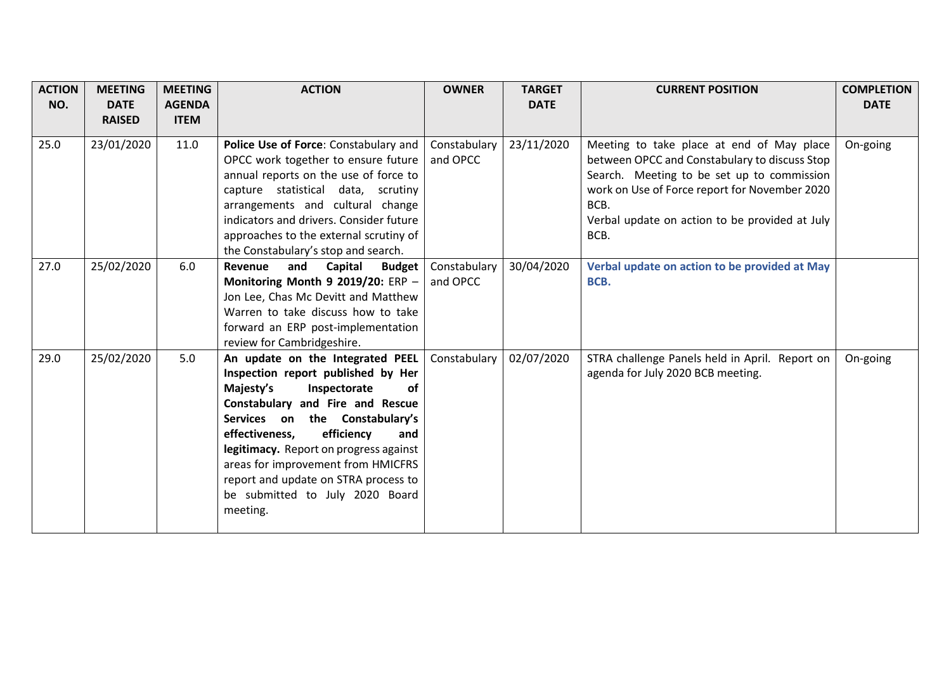| <b>ACTION</b><br>NO. | <b>MEETING</b><br><b>DATE</b> | <b>MEETING</b><br><b>AGENDA</b> | <b>ACTION</b>                                                                                                                                                                                                                                                                                                                                                                                 | <b>OWNER</b>             | <b>TARGET</b><br><b>DATE</b> | <b>CURRENT POSITION</b>                                                                                                                                                                                                                                     | <b>COMPLETION</b><br><b>DATE</b> |
|----------------------|-------------------------------|---------------------------------|-----------------------------------------------------------------------------------------------------------------------------------------------------------------------------------------------------------------------------------------------------------------------------------------------------------------------------------------------------------------------------------------------|--------------------------|------------------------------|-------------------------------------------------------------------------------------------------------------------------------------------------------------------------------------------------------------------------------------------------------------|----------------------------------|
|                      | <b>RAISED</b>                 | <b>ITEM</b>                     |                                                                                                                                                                                                                                                                                                                                                                                               |                          |                              |                                                                                                                                                                                                                                                             |                                  |
| 25.0                 | 23/01/2020                    | 11.0                            | Police Use of Force: Constabulary and<br>OPCC work together to ensure future<br>annual reports on the use of force to<br>capture statistical data, scrutiny<br>arrangements and cultural change<br>indicators and drivers. Consider future<br>approaches to the external scrutiny of<br>the Constabulary's stop and search.                                                                   | Constabulary<br>and OPCC | 23/11/2020                   | Meeting to take place at end of May place<br>between OPCC and Constabulary to discuss Stop<br>Search. Meeting to be set up to commission<br>work on Use of Force report for November 2020<br>BCB.<br>Verbal update on action to be provided at July<br>BCB. | On-going                         |
| 27.0                 | 25/02/2020                    | 6.0                             | Revenue<br>and<br>Capital<br><b>Budget</b><br>Monitoring Month 9 2019/20: ERP -<br>Jon Lee, Chas Mc Devitt and Matthew<br>Warren to take discuss how to take<br>forward an ERP post-implementation<br>review for Cambridgeshire.                                                                                                                                                              | Constabulary<br>and OPCC | 30/04/2020                   | Verbal update on action to be provided at May<br>BCB.                                                                                                                                                                                                       |                                  |
| 29.0                 | 25/02/2020                    | 5.0                             | An update on the Integrated PEEL<br>Inspection report published by Her<br>Majesty's<br>Inspectorate<br>οf<br>Constabulary and Fire and Rescue<br>Services on the Constabulary's<br>efficiency<br>effectiveness,<br>and<br>legitimacy. Report on progress against<br>areas for improvement from HMICFRS<br>report and update on STRA process to<br>be submitted to July 2020 Board<br>meeting. | Constabulary             | 02/07/2020                   | STRA challenge Panels held in April. Report on<br>agenda for July 2020 BCB meeting.                                                                                                                                                                         | On-going                         |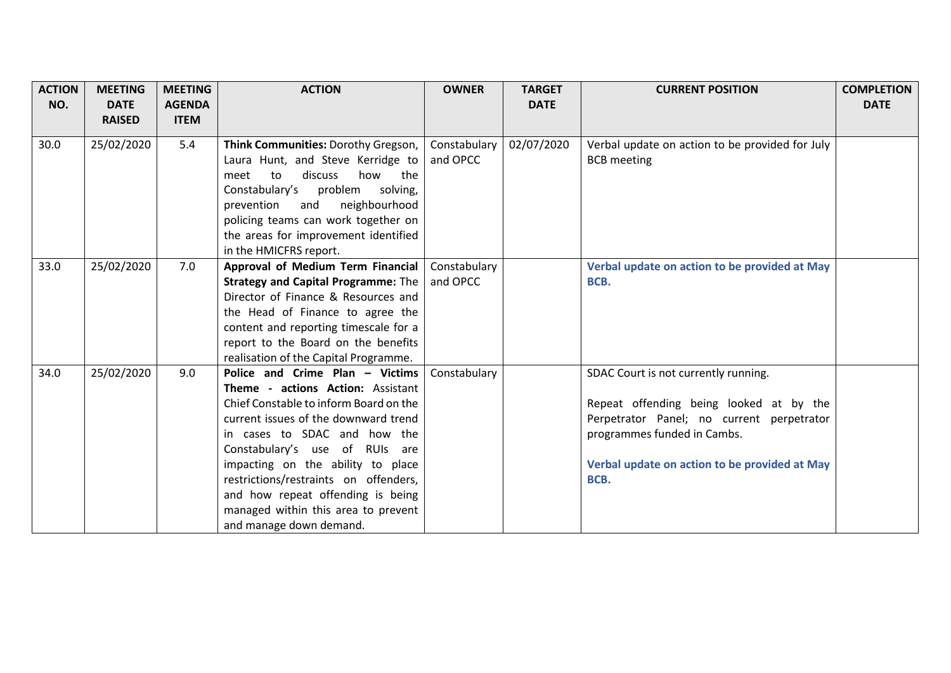| <b>ACTION</b><br>NO. | <b>MEETING</b><br><b>DATE</b> | <b>MEETING</b><br><b>AGENDA</b> | <b>ACTION</b>                                                                                                                                                                                                                                                                                                                                                                                                 | <b>OWNER</b>             | <b>TARGET</b><br><b>DATE</b> | <b>CURRENT POSITION</b>                                                                                                                                                                                              | <b>COMPLETION</b><br><b>DATE</b> |
|----------------------|-------------------------------|---------------------------------|---------------------------------------------------------------------------------------------------------------------------------------------------------------------------------------------------------------------------------------------------------------------------------------------------------------------------------------------------------------------------------------------------------------|--------------------------|------------------------------|----------------------------------------------------------------------------------------------------------------------------------------------------------------------------------------------------------------------|----------------------------------|
|                      | <b>RAISED</b>                 | <b>ITEM</b>                     |                                                                                                                                                                                                                                                                                                                                                                                                               |                          |                              |                                                                                                                                                                                                                      |                                  |
| 30.0                 | 25/02/2020                    | 5.4                             | Think Communities: Dorothy Gregson,<br>Laura Hunt, and Steve Kerridge to<br>discuss<br>how<br>the<br>meet<br>to<br>Constabulary's problem<br>solving,<br>neighbourhood<br>prevention<br>and<br>policing teams can work together on<br>the areas for improvement identified<br>in the HMICFRS report.                                                                                                          | Constabulary<br>and OPCC | 02/07/2020                   | Verbal update on action to be provided for July<br><b>BCB</b> meeting                                                                                                                                                |                                  |
| 33.0                 | 25/02/2020                    | 7.0                             | Approval of Medium Term Financial<br><b>Strategy and Capital Programme: The</b><br>Director of Finance & Resources and<br>the Head of Finance to agree the<br>content and reporting timescale for a<br>report to the Board on the benefits<br>realisation of the Capital Programme.                                                                                                                           | Constabulary<br>and OPCC |                              | Verbal update on action to be provided at May<br>BCB.                                                                                                                                                                |                                  |
| 34.0                 | 25/02/2020                    | 9.0                             | Police and Crime Plan - Victims<br>Theme - actions Action: Assistant<br>Chief Constable to inform Board on the<br>current issues of the downward trend<br>in cases to SDAC and how the<br>Constabulary's use of RUIs are<br>impacting on the ability to place<br>restrictions/restraints on offenders,<br>and how repeat offending is being<br>managed within this area to prevent<br>and manage down demand. | Constabulary             |                              | SDAC Court is not currently running.<br>Repeat offending being looked at by the<br>Perpetrator Panel; no current perpetrator<br>programmes funded in Cambs.<br>Verbal update on action to be provided at May<br>BCB. |                                  |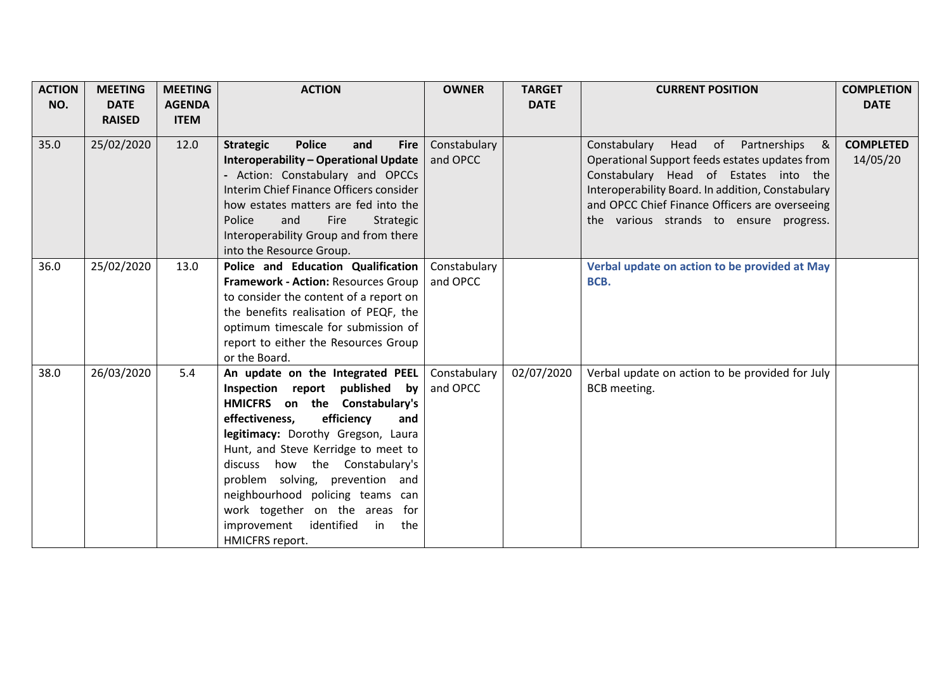| <b>ACTION</b> | <b>MEETING</b> | <b>MEETING</b> | <b>ACTION</b>                                                                                    | <b>OWNER</b>             | <b>TARGET</b> | <b>CURRENT POSITION</b>                                                                        | <b>COMPLETION</b>            |
|---------------|----------------|----------------|--------------------------------------------------------------------------------------------------|--------------------------|---------------|------------------------------------------------------------------------------------------------|------------------------------|
| NO.           | <b>DATE</b>    | <b>AGENDA</b>  |                                                                                                  |                          | <b>DATE</b>   |                                                                                                | <b>DATE</b>                  |
|               | <b>RAISED</b>  | <b>ITEM</b>    |                                                                                                  |                          |               |                                                                                                |                              |
| 35.0          | 25/02/2020     | 12.0           | <b>Police</b><br><b>Strategic</b><br>and<br><b>Fire</b><br>Interoperability - Operational Update | Constabulary<br>and OPCC |               | Head of<br>Partnerships<br>&<br>Constabulary<br>Operational Support feeds estates updates from | <b>COMPLETED</b><br>14/05/20 |
|               |                |                | - Action: Constabulary and OPCCs                                                                 |                          |               | Constabulary Head of Estates into the                                                          |                              |
|               |                |                | Interim Chief Finance Officers consider                                                          |                          |               | Interoperability Board. In addition, Constabulary                                              |                              |
|               |                |                | how estates matters are fed into the                                                             |                          |               | and OPCC Chief Finance Officers are overseeing                                                 |                              |
|               |                |                | Police<br>Fire<br>and<br>Strategic                                                               |                          |               | the various strands to ensure progress.                                                        |                              |
|               |                |                | Interoperability Group and from there                                                            |                          |               |                                                                                                |                              |
|               |                |                | into the Resource Group.                                                                         |                          |               |                                                                                                |                              |
| 36.0          | 25/02/2020     | 13.0           | Police and Education Qualification                                                               | Constabulary             |               | Verbal update on action to be provided at May                                                  |                              |
|               |                |                | Framework - Action: Resources Group                                                              | and OPCC                 |               | BCB.                                                                                           |                              |
|               |                |                | to consider the content of a report on                                                           |                          |               |                                                                                                |                              |
|               |                |                | the benefits realisation of PEQF, the                                                            |                          |               |                                                                                                |                              |
|               |                |                | optimum timescale for submission of                                                              |                          |               |                                                                                                |                              |
|               |                |                | report to either the Resources Group                                                             |                          |               |                                                                                                |                              |
|               |                |                | or the Board.                                                                                    |                          |               |                                                                                                |                              |
| 38.0          | 26/03/2020     | 5.4            | An update on the Integrated PEEL                                                                 | Constabulary             | 02/07/2020    | Verbal update on action to be provided for July                                                |                              |
|               |                |                | Inspection report published<br>by                                                                | and OPCC                 |               | <b>BCB</b> meeting.                                                                            |                              |
|               |                |                | HMICFRS on the Constabulary's                                                                    |                          |               |                                                                                                |                              |
|               |                |                | efficiency<br>effectiveness,<br>and                                                              |                          |               |                                                                                                |                              |
|               |                |                | legitimacy: Dorothy Gregson, Laura                                                               |                          |               |                                                                                                |                              |
|               |                |                | Hunt, and Steve Kerridge to meet to                                                              |                          |               |                                                                                                |                              |
|               |                |                | discuss how the Constabulary's                                                                   |                          |               |                                                                                                |                              |
|               |                |                | problem solving, prevention and                                                                  |                          |               |                                                                                                |                              |
|               |                |                | neighbourhood policing teams can                                                                 |                          |               |                                                                                                |                              |
|               |                |                | work together on the areas for                                                                   |                          |               |                                                                                                |                              |
|               |                |                | improvement<br>identified<br>in<br>the                                                           |                          |               |                                                                                                |                              |
|               |                |                | HMICFRS report.                                                                                  |                          |               |                                                                                                |                              |